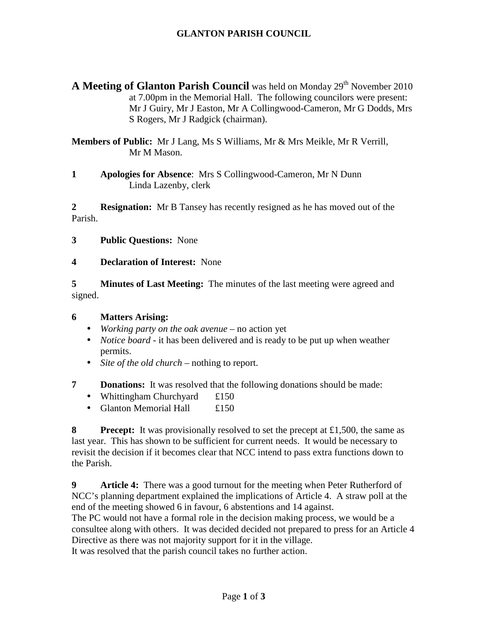# **GLANTON PARISH COUNCIL**

**A Meeting of Glanton Parish Council** was held on Monday 29<sup>th</sup> November 2010 at 7.00pm in the Memorial Hall. The following councilors were present: Mr J Guiry, Mr J Easton, Mr A Collingwood-Cameron, Mr G Dodds, Mrs S Rogers, Mr J Radgick (chairman).

**Members of Public:** Mr J Lang, Ms S Williams, Mr & Mrs Meikle, Mr R Verrill, Mr M Mason.

**1 Apologies for Absence**: Mrs S Collingwood-Cameron, Mr N Dunn Linda Lazenby, clerk

**2 Resignation:** Mr B Tansey has recently resigned as he has moved out of the Parish.

- **3 Public Questions:** None
- **4 Declaration of Interest:** None

**5 Minutes of Last Meeting:** The minutes of the last meeting were agreed and signed.

#### **6 Matters Arising:**

- *Working party on the oak avenue* no action yet
- *Notice board* it has been delivered and is ready to be put up when weather permits.
- *Site of the old church* nothing to report.
- **7** Donations: It was resolved that the following donations should be made:
	- Whittingham Churchyard  $£150$
	- Glanton Memorial Hall £150

**8** Precept: It was provisionally resolved to set the precept at £1,500, the same as last year. This has shown to be sufficient for current needs. It would be necessary to revisit the decision if it becomes clear that NCC intend to pass extra functions down to the Parish.

**9** Article 4: There was a good turnout for the meeting when Peter Rutherford of NCC's planning department explained the implications of Article 4. A straw poll at the end of the meeting showed 6 in favour, 6 abstentions and 14 against.

The PC would not have a formal role in the decision making process, we would be a consultee along with others. It was decided decided not prepared to press for an Article 4 Directive as there was not majority support for it in the village.

It was resolved that the parish council takes no further action.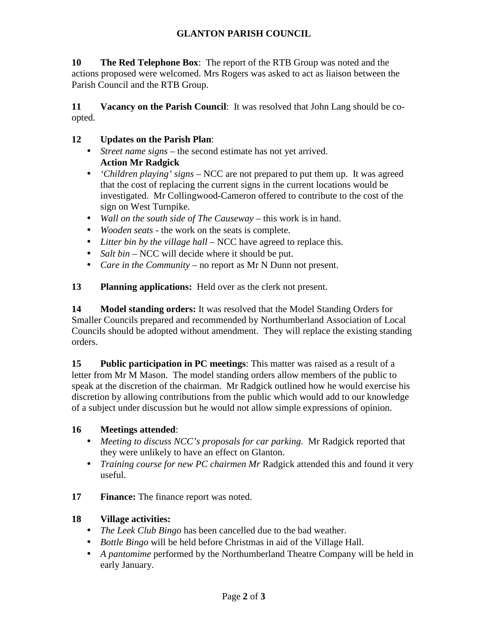# **GLANTON PARISH COUNCIL**

**10 The Red Telephone Box**: The report of the RTB Group was noted and the actions proposed were welcomed. Mrs Rogers was asked to act as liaison between the Parish Council and the RTB Group.

**11** Vacancy on the Parish Council: It was resolved that John Lang should be coopted.

#### **12 Updates on the Parish Plan**:

- *Street name signs* the second estimate has not yet arrived. **Action Mr Radgick**
- *'Children playing' signs* NCC are not prepared to put them up. It was agreed that the cost of replacing the current signs in the current locations would be investigated. Mr Collingwood-Cameron offered to contribute to the cost of the sign on West Turnpike.
- *Wall on the south side of The Causeway* this work is in hand.
- *Wooden seats -* the work on the seats is complete.
- *Litter bin by the village hall* NCC have agreed to replace this.
- *Salt bin –* NCC will decide where it should be put.
- *Care in the Community –* no report as Mr N Dunn not present.

**13 Planning applications:** Held over as the clerk not present.

**14 Model standing orders:** It was resolved that the Model Standing Orders for Smaller Councils prepared and recommended by Northumberland Association of Local Councils should be adopted without amendment. They will replace the existing standing orders.

**15 Public participation in PC meetings**: This matter was raised as a result of a letter from Mr M Mason. The model standing orders allow members of the public to speak at the discretion of the chairman. Mr Radgick outlined how he would exercise his discretion by allowing contributions from the public which would add to our knowledge of a subject under discussion but he would not allow simple expressions of opinion.

## **16 Meetings attended**:

- *Meeting to discuss NCC's proposals for car parking*. Mr Radgick reported that they were unlikely to have an effect on Glanton.
- *Training course for new PC chairmen Mr* Radgick attended this and found it very useful.
- **17** Finance: The finance report was noted.

# **18 Village activities:**

- *The Leek Club Bingo* has been cancelled due to the bad weather.
- *Bottle Bingo* will be held before Christmas in aid of the Village Hall.
- *A pantomime* performed by the Northumberland Theatre Company will be held in early January.